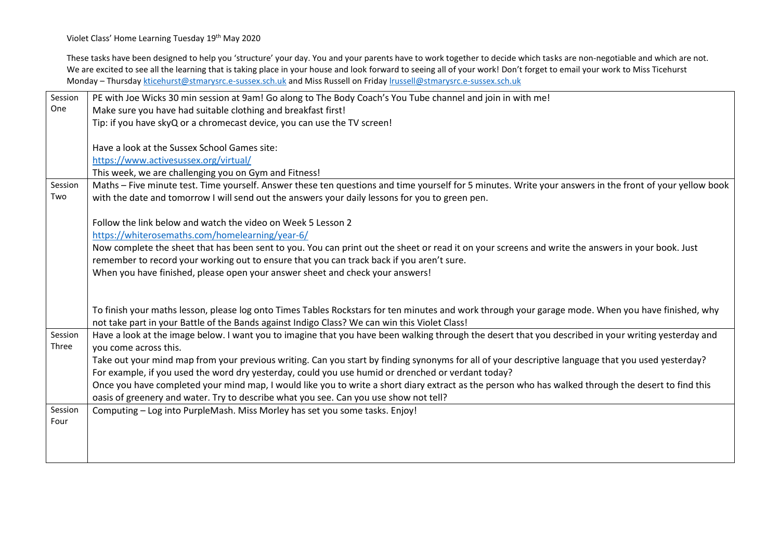Violet Class' Home Learning Tuesday 19<sup>th</sup> May 2020

These tasks have been designed to help you 'structure' your day. You and your parents have to work together to decide which tasks are non-negotiable and which are not. We are excited to see all the learning that is taking place in your house and look forward to seeing all of your work! Don't forget to email your work to Miss Ticehurst Monday – Thursday [kticehurst@stmarysrc.e-sussex.sch.uk](mailto:kticehurst@stmarysrc.e-sussex.sch.uk) and Miss Russell on Friday [lrussell@stmarysrc.e-sussex.sch.uk](mailto:lrussell@stmarysrc.e-sussex.sch.uk)

| Session | PE with Joe Wicks 30 min session at 9am! Go along to The Body Coach's You Tube channel and join in with me!                                              |
|---------|----------------------------------------------------------------------------------------------------------------------------------------------------------|
| One     | Make sure you have had suitable clothing and breakfast first!                                                                                            |
|         | Tip: if you have skyQ or a chromecast device, you can use the TV screen!                                                                                 |
|         |                                                                                                                                                          |
|         | Have a look at the Sussex School Games site:                                                                                                             |
|         | https://www.activesussex.org/virtual/                                                                                                                    |
|         | This week, we are challenging you on Gym and Fitness!                                                                                                    |
| Session | Maths - Five minute test. Time yourself. Answer these ten questions and time yourself for 5 minutes. Write your answers in the front of your yellow book |
| Two     | with the date and tomorrow I will send out the answers your daily lessons for you to green pen.                                                          |
|         |                                                                                                                                                          |
|         | Follow the link below and watch the video on Week 5 Lesson 2                                                                                             |
|         | https://whiterosemaths.com/homelearning/year-6/                                                                                                          |
|         | Now complete the sheet that has been sent to you. You can print out the sheet or read it on your screens and write the answers in your book. Just        |
|         | remember to record your working out to ensure that you can track back if you aren't sure.                                                                |
|         | When you have finished, please open your answer sheet and check your answers!                                                                            |
|         |                                                                                                                                                          |
|         |                                                                                                                                                          |
|         | To finish your maths lesson, please log onto Times Tables Rockstars for ten minutes and work through your garage mode. When you have finished, why       |
|         | not take part in your Battle of the Bands against Indigo Class? We can win this Violet Class!                                                            |
| Session | Have a look at the image below. I want you to imagine that you have been walking through the desert that you described in your writing yesterday and     |
| Three   | you come across this.                                                                                                                                    |
|         | Take out your mind map from your previous writing. Can you start by finding synonyms for all of your descriptive language that you used yesterday?       |
|         | For example, if you used the word dry yesterday, could you use humid or drenched or verdant today?                                                       |
|         | Once you have completed your mind map, I would like you to write a short diary extract as the person who has walked through the desert to find this      |
|         | oasis of greenery and water. Try to describe what you see. Can you use show not tell?                                                                    |
| Session | Computing - Log into PurpleMash. Miss Morley has set you some tasks. Enjoy!                                                                              |
| Four    |                                                                                                                                                          |
|         |                                                                                                                                                          |
|         |                                                                                                                                                          |
|         |                                                                                                                                                          |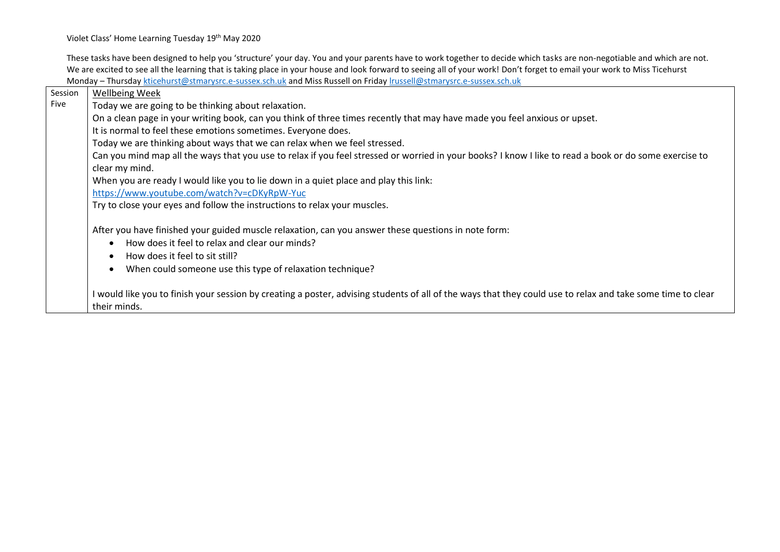Violet Class' Home Learning Tuesday 19<sup>th</sup> May 2020

These tasks have been designed to help you 'structure' your day. You and your parents have to work together to decide which tasks are non-negotiable and which are not. We are excited to see all the learning that is taking place in your house and look forward to seeing all of your work! Don't forget to email your work to Miss Ticehurst Monday – Thursday [kticehurst@stmarysrc.e-sussex.sch.uk](mailto:kticehurst@stmarysrc.e-sussex.sch.uk) and Miss Russell on Friday [lrussell@stmarysrc.e-sussex.sch.uk](mailto:lrussell@stmarysrc.e-sussex.sch.uk)

| Session | <b>Wellbeing Week</b>                                                                                                                                                                                                                                |
|---------|------------------------------------------------------------------------------------------------------------------------------------------------------------------------------------------------------------------------------------------------------|
| Five    | Today we are going to be thinking about relaxation.                                                                                                                                                                                                  |
|         | On a clean page in your writing book, can you think of three times recently that may have made you feel anxious or upset.                                                                                                                            |
|         | It is normal to feel these emotions sometimes. Everyone does.                                                                                                                                                                                        |
|         | Today we are thinking about ways that we can relax when we feel stressed.                                                                                                                                                                            |
|         | Can you mind map all the ways that you use to relax if you feel stressed or worried in your books? I know I like to read a book or do some exercise to                                                                                               |
|         | clear my mind.                                                                                                                                                                                                                                       |
|         | When you are ready I would like you to lie down in a quiet place and play this link:                                                                                                                                                                 |
|         | https://www.youtube.com/watch?v=cDKyRpW-Yuc                                                                                                                                                                                                          |
|         | Try to close your eyes and follow the instructions to relax your muscles.                                                                                                                                                                            |
|         | After you have finished your guided muscle relaxation, can you answer these questions in note form:<br>How does it feel to relax and clear our minds?<br>How does it feel to sit still?<br>When could someone use this type of relaxation technique? |
|         | I would like you to finish your session by creating a poster, advising students of all of the ways that they could use to relax and take some time to clear<br>their minds.                                                                          |
|         |                                                                                                                                                                                                                                                      |